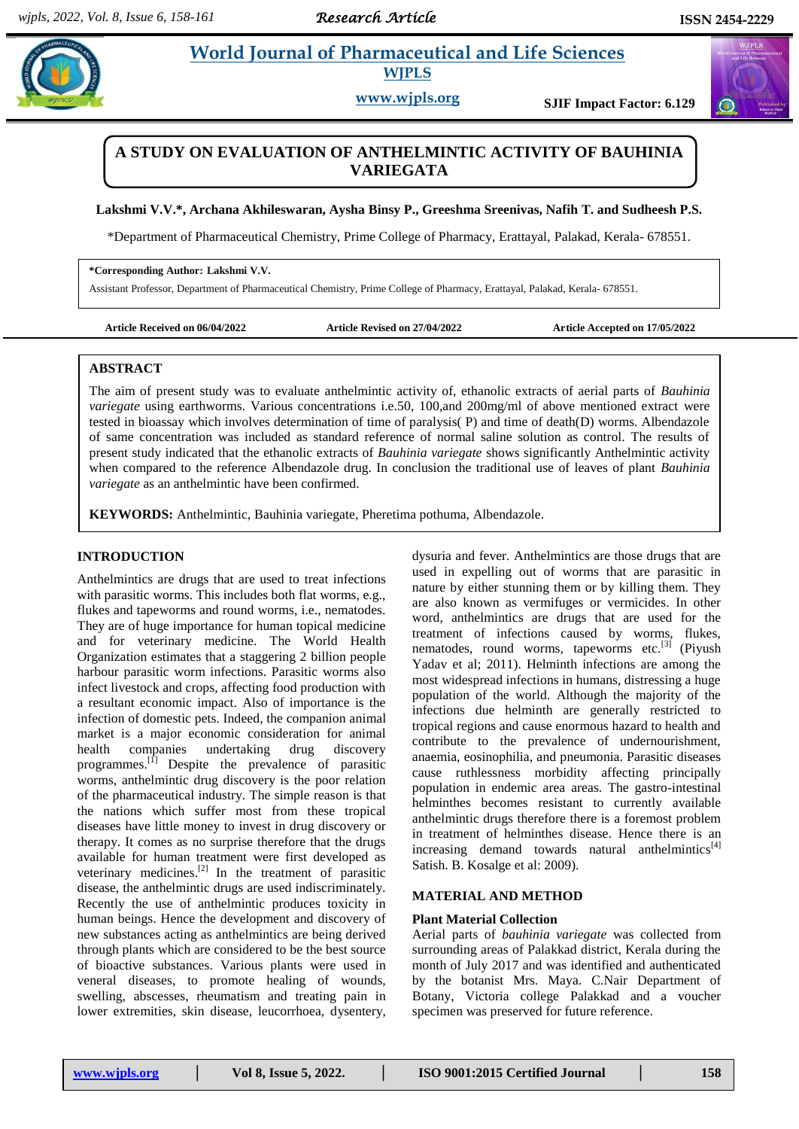# **Paramaceutical and Life Sciences WJPLS**

**www.wjpls.org SJIF Impact Factor: 6.129**

## **A STUDY ON EVALUATION OF ANTHELMINTIC ACTIVITY OF BAUHINIA VARIEGATA**

**Lakshmi V.V.\*, Archana Akhileswaran, Aysha Binsy P., Greeshma Sreenivas, Nafih T. and Sudheesh P.S.**

\*Department of Pharmaceutical Chemistry, Prime College of Pharmacy, Erattayal, Palakad, Kerala- 678551.

#### **\*Corresponding Author: Lakshmi V.V.**

Assistant Professor, Department of Pharmaceutical Chemistry, Prime College of Pharmacy, Erattayal, Palakad, Kerala- 678551.

**Article Received on 06/04/2022 Article Revised on 27/04/2022 Article Accepted on 17/05/2022**

### **ABSTRACT**

The aim of present study was to evaluate anthelmintic activity of, ethanolic extracts of aerial parts of *Bauhinia variegate* using earthworms. Various concentrations i.e.50, 100,and 200mg/ml of above mentioned extract were tested in bioassay which involves determination of time of paralysis( P) and time of death(D) worms. Albendazole of same concentration was included as standard reference of normal saline solution as control. The results of present study indicated that the ethanolic extracts of *Bauhinia variegate* shows significantly Anthelmintic activity when compared to the reference Albendazole drug. In conclusion the traditional use of leaves of plant *Bauhinia variegate* as an anthelmintic have been confirmed.

**KEYWORDS:** Anthelmintic, Bauhinia variegate, Pheretima pothuma, Albendazole.

### **INTRODUCTION**

Anthelmintics are drugs that are used to treat infections with parasitic worms. This includes both flat worms, e.g., flukes and tapeworms and round worms, i.e., nematodes. They are of huge importance for human topical medicine and for veterinary medicine. The World Health Organization estimates that a staggering 2 billion people harbour parasitic worm infections. Parasitic worms also infect livestock and crops, affecting food production with a resultant economic impact. Also of importance is the infection of domestic pets. Indeed, the companion animal market is a major economic consideration for animal health companies undertaking drug discovery programmes.<sup>[1]</sup> Despite the prevalence of parasitic worms, anthelmintic drug discovery is the poor relation of the pharmaceutical industry. The simple reason is that the nations which suffer most from these tropical diseases have little money to invest in drug discovery or therapy. It comes as no surprise therefore that the drugs available for human treatment were first developed as veterinary medicines. $[2]$  In the treatment of parasitic disease, the anthelmintic drugs are used indiscriminately. Recently the use of anthelmintic produces toxicity in human beings. Hence the development and discovery of new substances acting as anthelmintics are being derived through plants which are considered to be the best source of bioactive substances. Various plants were used in veneral diseases, to promote healing of wounds, swelling, abscesses, rheumatism and treating pain in lower extremities, skin disease, leucorrhoea, dysentery,

dysuria and fever. Anthelmintics are those drugs that are used in expelling out of worms that are parasitic in nature by either stunning them or by killing them. They are also known as vermifuges or vermicides. In other word, anthelmintics are drugs that are used for the treatment of infections caused by worms, flukes, nematodes, round worms, tapeworms etc.<sup>[3]</sup> (Piyush Yadav et al; 2011). Helminth infections are among the most widespread infections in humans, distressing a huge population of the world. Although the majority of the infections due helminth are generally restricted to tropical regions and cause enormous hazard to health and contribute to the prevalence of undernourishment, anaemia, eosinophilia, and pneumonia. Parasitic diseases cause ruthlessness morbidity affecting principally population in endemic area areas. The gastro-intestinal helminthes becomes resistant to currently available anthelmintic drugs therefore there is a foremost problem in treatment of helminthes disease. Hence there is an  $increasing$  demand towards natural anthelmintics<sup>[4]</sup> Satish. B. Kosalge et al: 2009).

### **MATERIAL AND METHOD**

#### **Plant Material Collection**

Aerial parts of *bauhinia variegate* was collected from surrounding areas of Palakkad district, Kerala during the month of July 2017 and was identified and authenticated by the botanist Mrs. Maya. C.Nair Department of Botany, Victoria college Palakkad and a voucher specimen was preserved for future reference.

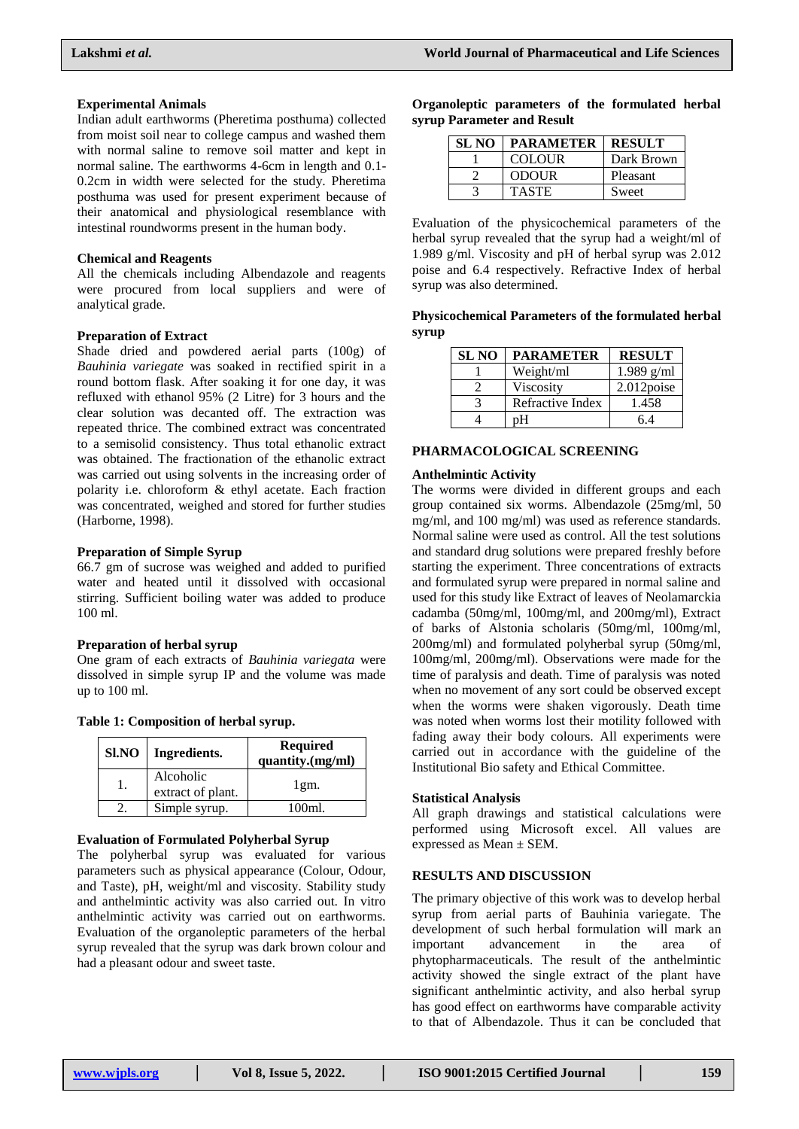#### **Experimental Animals**

Indian adult earthworms (Pheretima posthuma) collected from moist soil near to college campus and washed them with normal saline to remove soil matter and kept in normal saline. The earthworms 4-6cm in length and 0.1- 0.2cm in width were selected for the study. Pheretima posthuma was used for present experiment because of their anatomical and physiological resemblance with intestinal roundworms present in the human body.

#### **Chemical and Reagents**

All the chemicals including Albendazole and reagents were procured from local suppliers and were of analytical grade.

#### **Preparation of Extract**

Shade dried and powdered aerial parts (100g) of *Bauhinia variegate* was soaked in rectified spirit in a round bottom flask. After soaking it for one day, it was refluxed with ethanol 95% (2 Litre) for 3 hours and the clear solution was decanted off. The extraction was repeated thrice. The combined extract was concentrated to a semisolid consistency. Thus total ethanolic extract was obtained. The fractionation of the ethanolic extract was carried out using solvents in the increasing order of polarity i.e. chloroform & ethyl acetate. Each fraction was concentrated, weighed and stored for further studies (Harborne, 1998).

#### **Preparation of Simple Syrup**

66.7 gm of sucrose was weighed and added to purified water and heated until it dissolved with occasional stirring. Sufficient boiling water was added to produce 100 ml.

#### **Preparation of herbal syrup**

One gram of each extracts of *Bauhinia variegata* were dissolved in simple syrup IP and the volume was made up to 100 ml.

| Table 1: Composition of herbal syrup. |  |  |  |  |
|---------------------------------------|--|--|--|--|
|---------------------------------------|--|--|--|--|

| Sl.NO | Ingredients.                   | <b>Required</b><br>quantity.(mg/ml) |
|-------|--------------------------------|-------------------------------------|
|       | Alcoholic<br>extract of plant. | 1gm.                                |
|       | Simple syrup.                  | 100ml                               |

#### **Evaluation of Formulated Polyherbal Syrup**

The polyherbal syrup was evaluated for various parameters such as physical appearance (Colour, Odour, and Taste), pH, weight/ml and viscosity. Stability study and anthelmintic activity was also carried out. In vitro anthelmintic activity was carried out on earthworms. Evaluation of the organoleptic parameters of the herbal syrup revealed that the syrup was dark brown colour and had a pleasant odour and sweet taste.

| Organoleptic parameters of the formulated herbal |  |  |  |
|--------------------------------------------------|--|--|--|
| syrup Parameter and Result                       |  |  |  |

| <b>SL NO</b> | <b>PARAMETER</b> | <b>RESULT</b> |
|--------------|------------------|---------------|
|              | <b>COLOUR</b>    | Dark Brown    |
|              | <b>ODOUR</b>     | Pleasant      |
|              | <b>TASTE</b>     | Sweet         |

Evaluation of the physicochemical parameters of the herbal syrup revealed that the syrup had a weight/ml of 1.989 g/ml. Viscosity and pH of herbal syrup was 2.012 poise and 6.4 respectively. Refractive Index of herbal syrup was also determined.

**Physicochemical Parameters of the formulated herbal syrup**

| <b>SL NO</b> | <b>PARAMETER</b> | <b>RESULT</b> |
|--------------|------------------|---------------|
|              | Weight/ml        | $1.989$ g/ml  |
|              | Viscosity        | 2.012poise    |
|              | Refractive Index | 1.458         |
|              | nН               | 64            |

#### **PHARMACOLOGICAL SCREENING**

#### **Anthelmintic Activity**

The worms were divided in different groups and each group contained six worms. Albendazole (25mg/ml, 50 mg/ml, and 100 mg/ml) was used as reference standards. Normal saline were used as control. All the test solutions and standard drug solutions were prepared freshly before starting the experiment. Three concentrations of extracts and formulated syrup were prepared in normal saline and used for this study like Extract of leaves of Neolamarckia cadamba (50mg/ml, 100mg/ml, and 200mg/ml), Extract of barks of Alstonia scholaris (50mg/ml, 100mg/ml, 200mg/ml) and formulated polyherbal syrup (50mg/ml, 100mg/ml, 200mg/ml). Observations were made for the time of paralysis and death. Time of paralysis was noted when no movement of any sort could be observed except when the worms were shaken vigorously. Death time was noted when worms lost their motility followed with fading away their body colours. All experiments were carried out in accordance with the guideline of the Institutional Bio safety and Ethical Committee.

#### **Statistical Analysis**

All graph drawings and statistical calculations were performed using Microsoft excel. All values are expressed as Mean ± SEM.

#### **RESULTS AND DISCUSSION**

The primary objective of this work was to develop herbal syrup from aerial parts of Bauhinia variegate. The development of such herbal formulation will mark an important advancement in the area of phytopharmaceuticals. The result of the anthelmintic activity showed the single extract of the plant have significant anthelmintic activity, and also herbal syrup has good effect on earthworms have comparable activity to that of Albendazole. Thus it can be concluded that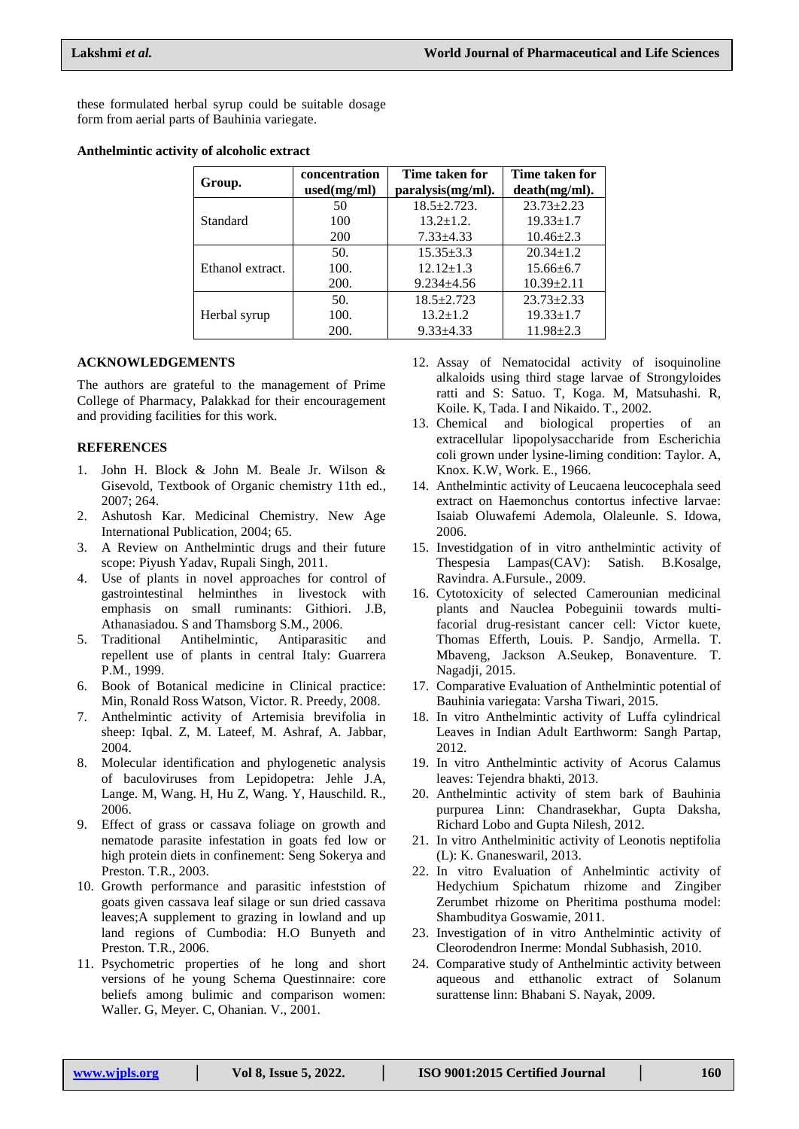these formulated herbal syrup could be suitable dosage form from aerial parts of Bauhinia variegate.

#### **Anthelmintic activity of alcoholic extract**

| Group.           | concentration | Time taken for    | Time taken for   |
|------------------|---------------|-------------------|------------------|
|                  | used(mg/ml)   | paralysis(mg/ml). | death(mg/ml).    |
|                  | 50            | $18.5 + 2.723$ .  | $23.73 + 2.23$   |
| Standard         | 100           | $13.2 \pm 1.2$ .  | $19.33 \pm 1.7$  |
|                  | <b>200</b>    | $7.33 \pm 4.33$   | $10.46 \pm 2.3$  |
|                  | 50.           | $15.35 \pm 3.3$   | $20.34 \pm 1.2$  |
| Ethanol extract. | 100.          | $12.12 \pm 1.3$   | $15.66 \pm 6.7$  |
|                  | <b>200.</b>   | $9.234 \pm 4.56$  | $10.39 \pm 2.11$ |
|                  | 50.           | $18.5 + 2.723$    | $23.73 \pm 2.33$ |
| Herbal syrup     | 100.          | $13.2 \pm 1.2$    | $19.33 \pm 1.7$  |
|                  | <b>200.</b>   | $9.33 \pm 4.33$   | $11.98 \pm 2.3$  |

### **ACKNOWLEDGEMENTS**

The authors are grateful to the management of Prime College of Pharmacy, Palakkad for their encouragement and providing facilities for this work.

#### **REFERENCES**

- 1. John H. Block & John M. Beale Jr. Wilson & Gisevold, Textbook of Organic chemistry 11th ed., 2007; 264.
- 2. Ashutosh Kar. Medicinal Chemistry. New Age International Publication, 2004; 65.
- 3. A Review on Anthelmintic drugs and their future scope: Piyush Yadav, Rupali Singh, 2011.
- 4. Use of plants in novel approaches for control of gastrointestinal helminthes in livestock with emphasis on small ruminants: Githiori. J.B, Athanasiadou. S and Thamsborg S.M., 2006.
- 5. Traditional Antihelmintic, Antiparasitic and repellent use of plants in central Italy: Guarrera P.M., 1999.
- 6. Book of Botanical medicine in Clinical practice: Min, Ronald Ross Watson, Victor. R. Preedy, 2008.
- 7. Anthelmintic activity of Artemisia brevifolia in sheep: Iqbal. Z, M. Lateef, M. Ashraf, A. Jabbar, 2004.
- 8. Molecular identification and phylogenetic analysis of baculoviruses from Lepidopetra: Jehle J.A, Lange. M, Wang. H, Hu Z, Wang. Y, Hauschild. R., 2006.
- 9. Effect of grass or cassava foliage on growth and nematode parasite infestation in goats fed low or high protein diets in confinement: Seng Sokerya and Preston. T.R., 2003.
- 10. Growth performance and parasitic infeststion of goats given cassava leaf silage or sun dried cassava leaves;A supplement to grazing in lowland and up land regions of Cumbodia: H.O Bunyeth and Preston. T.R., 2006.
- 11. Psychometric properties of he long and short versions of he young Schema Questinnaire: core beliefs among bulimic and comparison women: Waller. G, Meyer. C, Ohanian. V., 2001.
- 12. Assay of Nematocidal activity of isoquinoline alkaloids using third stage larvae of Strongyloides ratti and S: Satuo. T, Koga. M, Matsuhashi. R, Koile. K, Tada. I and Nikaido. T., 2002.
- 13. Chemical and biological properties of an extracellular lipopolysaccharide from Escherichia coli grown under lysine-liming condition: Taylor. A, Knox. K.W, Work. E., 1966.
- 14. Anthelmintic activity of Leucaena leucocephala seed extract on Haemonchus contortus infective larvae: Isaiab Oluwafemi Ademola, Olaleunle. S. Idowa, 2006.
- 15. Investidgation of in vitro anthelmintic activity of Thespesia Lampas(CAV): Satish. B.Kosalge, Ravindra. A.Fursule., 2009.
- 16. Cytotoxicity of selected Camerounian medicinal plants and Nauclea Pobeguinii towards multifacorial drug-resistant cancer cell: Victor kuete, Thomas Efferth, Louis. P. Sandjo, Armella. T. Mbaveng, Jackson A.Seukep, Bonaventure. T. Nagadji, 2015.
- 17. Comparative Evaluation of Anthelmintic potential of Bauhinia variegata: Varsha Tiwari, 2015.
- 18. In vitro Anthelmintic activity of Luffa cylindrical Leaves in Indian Adult Earthworm: Sangh Partap, 2012.
- 19. In vitro Anthelmintic activity of Acorus Calamus leaves: Tejendra bhakti, 2013.
- 20. Anthelmintic activity of stem bark of Bauhinia purpurea Linn: Chandrasekhar, Gupta Daksha, Richard Lobo and Gupta Nilesh, 2012.
- 21. In vitro Anthelminitic activity of Leonotis neptifolia (L): K. Gnaneswaril, 2013.
- 22. In vitro Evaluation of Anhelmintic activity of Hedychium Spichatum rhizome and Zingiber Zerumbet rhizome on Pheritima posthuma model: Shambuditya Goswamie, 2011.
- 23. Investigation of in vitro Anthelmintic activity of Cleorodendron Inerme: Mondal Subhasish, 2010.
- 24. Comparative study of Anthelmintic activity between aqueous and etthanolic extract of Solanum surattense linn: Bhabani S. Nayak, 2009.